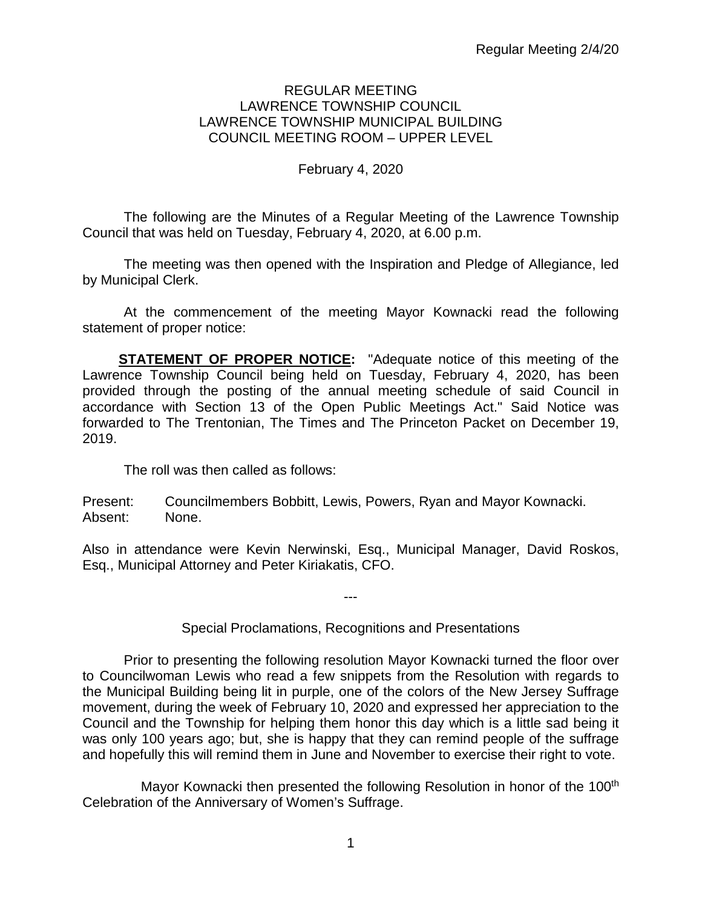#### REGULAR MEETING LAWRENCE TOWNSHIP COUNCIL LAWRENCE TOWNSHIP MUNICIPAL BUILDING COUNCIL MEETING ROOM – UPPER LEVEL

# February 4, 2020

The following are the Minutes of a Regular Meeting of the Lawrence Township Council that was held on Tuesday, February 4, 2020, at 6.00 p.m.

The meeting was then opened with the Inspiration and Pledge of Allegiance, led by Municipal Clerk.

At the commencement of the meeting Mayor Kownacki read the following statement of proper notice:

**STATEMENT OF PROPER NOTICE:** "Adequate notice of this meeting of the Lawrence Township Council being held on Tuesday, February 4, 2020, has been provided through the posting of the annual meeting schedule of said Council in accordance with Section 13 of the Open Public Meetings Act." Said Notice was forwarded to The Trentonian, The Times and The Princeton Packet on December 19, 2019.

The roll was then called as follows:

Present: Councilmembers Bobbitt, Lewis, Powers, Ryan and Mayor Kownacki. Absent: None.

Also in attendance were Kevin Nerwinski, Esq., Municipal Manager, David Roskos, Esq., Municipal Attorney and Peter Kiriakatis, CFO.

Special Proclamations, Recognitions and Presentations

---

Prior to presenting the following resolution Mayor Kownacki turned the floor over to Councilwoman Lewis who read a few snippets from the Resolution with regards to the Municipal Building being lit in purple, one of the colors of the New Jersey Suffrage movement, during the week of February 10, 2020 and expressed her appreciation to the Council and the Township for helping them honor this day which is a little sad being it was only 100 years ago; but, she is happy that they can remind people of the suffrage and hopefully this will remind them in June and November to exercise their right to vote.

Mayor Kownacki then presented the following Resolution in honor of the 100<sup>th</sup> Celebration of the Anniversary of Women's Suffrage.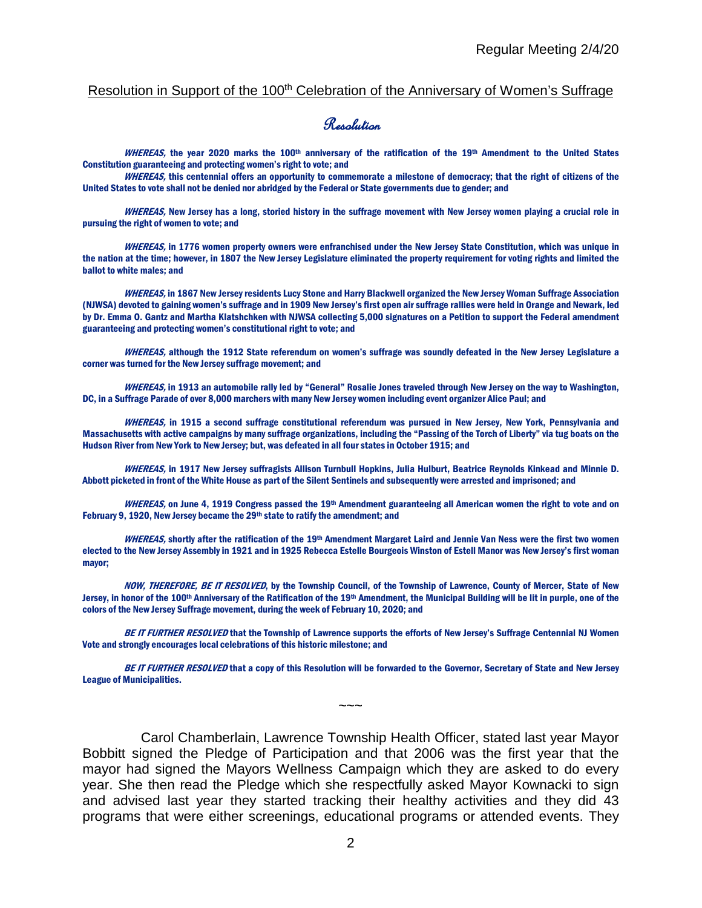#### Resolution in Support of the 100<sup>th</sup> Celebration of the Anniversary of Women's Suffrage

#### Resolution

WHEREAS, the year 2020 marks the 100<sup>th</sup> anniversary of the ratification of the 19<sup>th</sup> Amendment to the United States Constitution guaranteeing and protecting women's right to vote; and

WHEREAS, this centennial offers an opportunity to commemorate a milestone of democracy; that the right of citizens of the United States to vote shall not be denied nor abridged by the Federal or State governments due to gender; and

WHEREAS, New Jersey has a long, storied history in the suffrage movement with New Jersey women playing a crucial role in pursuing the right of women to vote; and

WHEREAS, in 1776 women property owners were enfranchised under the New Jersey State Constitution, which was unique in the nation at the time; however, in 1807 the New Jersey Legislature eliminated the property requirement for voting rights and limited the ballot to white males; and

WHEREAS, in 1867 New Jersey residents Lucy Stone and Harry Blackwell organized the New Jersey Woman Suffrage Association (NJWSA) devoted to gaining women's suffrage and in 1909 New Jersey's first open air suffrage rallies were held in Orange and Newark, led by Dr. Emma O. Gantz and Martha Klatshchken with NJWSA collecting 5,000 signatures on a Petition to support the Federal amendment guaranteeing and protecting women's constitutional right to vote; and

WHEREAS, although the 1912 State referendum on women's suffrage was soundly defeated in the New Jersey Legislature a corner was turned for the New Jersey suffrage movement; and

WHEREAS, in 1913 an automobile rally led by "General" Rosalie Jones traveled through New Jersey on the way to Washington, DC, in a Suffrage Parade of over 8,000 marchers with many New Jersey women including event organizer Alice Paul; and

WHEREAS, in 1915 a second suffrage constitutional referendum was pursued in New Jersey, New York, Pennsylvania and Massachusetts with active campaigns by many suffrage organizations, including the "Passing of the Torch of Liberty" via tug boats on the Hudson River from New York to New Jersey; but, was defeated in all four states in October 1915; and

WHEREAS, in 1917 New Jersey suffragists Allison Turnbull Hopkins, Julia Hulburt, Beatrice Reynolds Kinkead and Minnie D. Abbott picketed in front of the White House as part of the Silent Sentinels and subsequently were arrested and imprisoned; and

WHEREAS, on June 4, 1919 Congress passed the 19<sup>th</sup> Amendment guaranteeing all American women the right to vote and on February 9, 1920, New Jersey became the 29<sup>th</sup> state to ratify the amendment; and

WHEREAS, shortly after the ratification of the 19<sup>th</sup> Amendment Margaret Laird and Jennie Van Ness were the first two women elected to the New Jersey Assembly in 1921 and in 1925 Rebecca Estelle Bourgeois Winston of Estell Manor was New Jersey's first woman mayor;

NOW, THEREFORE, BE IT RESOLVED, by the Township Council, of the Township of Lawrence, County of Mercer, State of New Jersey, in honor of the 100<sup>th</sup> Anniversary of the Ratification of the 19<sup>th</sup> Amendment, the Municipal Building will be lit in purple, one of the colors of the New Jersey Suffrage movement, during the week of February 10, 2020; and

BE IT FURTHER RESOLVED that the Township of Lawrence supports the efforts of New Jersey's Suffrage Centennial NJ Women Vote and strongly encourages local celebrations of this historic milestone; and

BE IT FURTHER RESOLVED that a copy of this Resolution will be forwarded to the Governor, Secretary of State and New Jersey League of Municipalities.

~~~

Carol Chamberlain, Lawrence Township Health Officer, stated last year Mayor Bobbitt signed the Pledge of Participation and that 2006 was the first year that the mayor had signed the Mayors Wellness Campaign which they are asked to do every year. She then read the Pledge which she respectfully asked Mayor Kownacki to sign and advised last year they started tracking their healthy activities and they did 43 programs that were either screenings, educational programs or attended events. They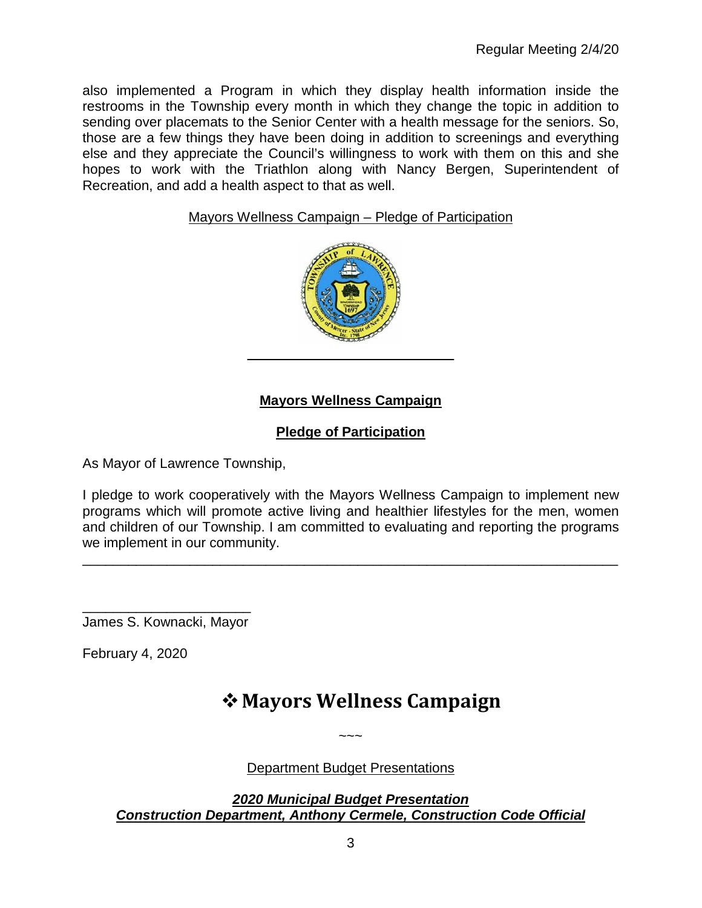also implemented a Program in which they display health information inside the restrooms in the Township every month in which they change the topic in addition to sending over placemats to the Senior Center with a health message for the seniors. So, those are a few things they have been doing in addition to screenings and everything else and they appreciate the Council's willingness to work with them on this and she hopes to work with the Triathlon along with Nancy Bergen, Superintendent of Recreation, and add a health aspect to that as well.

# Mayors Wellness Campaign – Pledge of Participation



# **Mayors Wellness Campaign**

# **Pledge of Participation**

As Mayor of Lawrence Township,

I pledge to work cooperatively with the Mayors Wellness Campaign to implement new programs which will promote active living and healthier lifestyles for the men, women and children of our Township. I am committed to evaluating and reporting the programs we implement in our community.

\_\_\_\_\_\_\_\_\_\_\_\_\_\_\_\_\_\_\_\_\_\_\_\_\_\_\_\_\_\_\_\_\_\_\_\_\_\_\_\_\_\_\_\_\_\_\_\_\_\_\_\_\_\_\_\_\_\_\_\_\_\_\_\_\_\_\_\_\_\_

\_\_\_\_\_\_\_\_\_\_\_\_\_\_\_\_\_\_\_\_\_\_ James S. Kownacki, Mayor

February 4, 2020

# **Mayors Wellness Campaign**

Department Budget Presentations

 $\sim\sim\sim$ 

*2020 Municipal Budget Presentation Construction Department, Anthony Cermele, Construction Code Official*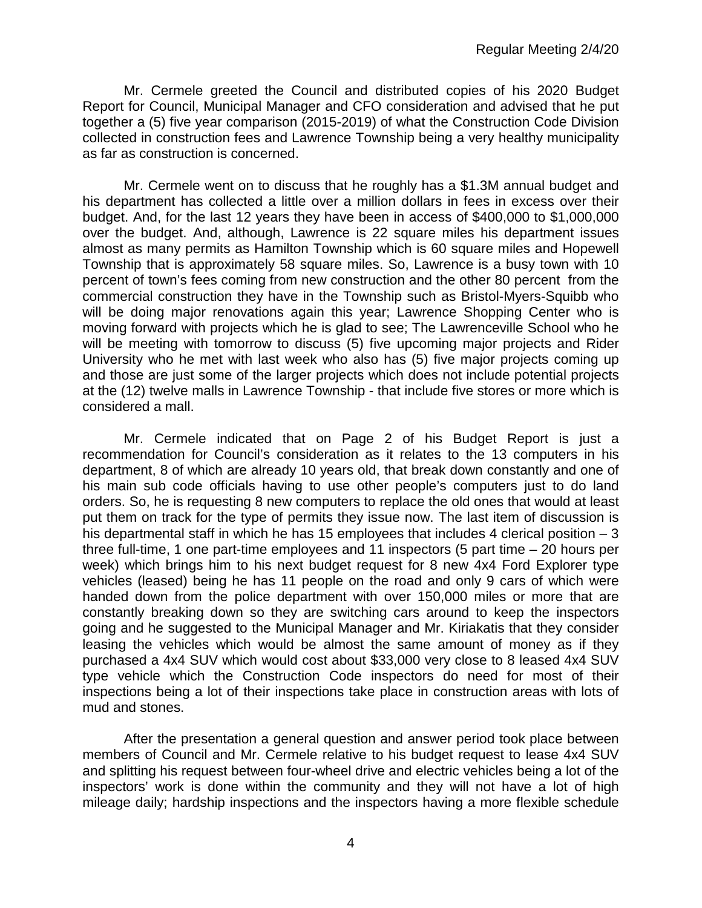Mr. Cermele greeted the Council and distributed copies of his 2020 Budget Report for Council, Municipal Manager and CFO consideration and advised that he put together a (5) five year comparison (2015-2019) of what the Construction Code Division collected in construction fees and Lawrence Township being a very healthy municipality as far as construction is concerned.

Mr. Cermele went on to discuss that he roughly has a \$1.3M annual budget and his department has collected a little over a million dollars in fees in excess over their budget. And, for the last 12 years they have been in access of \$400,000 to \$1,000,000 over the budget. And, although, Lawrence is 22 square miles his department issues almost as many permits as Hamilton Township which is 60 square miles and Hopewell Township that is approximately 58 square miles. So, Lawrence is a busy town with 10 percent of town's fees coming from new construction and the other 80 percent from the commercial construction they have in the Township such as Bristol-Myers-Squibb who will be doing major renovations again this year; Lawrence Shopping Center who is moving forward with projects which he is glad to see; The Lawrenceville School who he will be meeting with tomorrow to discuss (5) five upcoming major projects and Rider University who he met with last week who also has (5) five major projects coming up and those are just some of the larger projects which does not include potential projects at the (12) twelve malls in Lawrence Township - that include five stores or more which is considered a mall.

Mr. Cermele indicated that on Page 2 of his Budget Report is just a recommendation for Council's consideration as it relates to the 13 computers in his department, 8 of which are already 10 years old, that break down constantly and one of his main sub code officials having to use other people's computers just to do land orders. So, he is requesting 8 new computers to replace the old ones that would at least put them on track for the type of permits they issue now. The last item of discussion is his departmental staff in which he has 15 employees that includes 4 clerical position  $-3$ three full-time, 1 one part-time employees and 11 inspectors (5 part time – 20 hours per week) which brings him to his next budget request for 8 new 4x4 Ford Explorer type vehicles (leased) being he has 11 people on the road and only 9 cars of which were handed down from the police department with over 150,000 miles or more that are constantly breaking down so they are switching cars around to keep the inspectors going and he suggested to the Municipal Manager and Mr. Kiriakatis that they consider leasing the vehicles which would be almost the same amount of money as if they purchased a 4x4 SUV which would cost about \$33,000 very close to 8 leased 4x4 SUV type vehicle which the Construction Code inspectors do need for most of their inspections being a lot of their inspections take place in construction areas with lots of mud and stones.

After the presentation a general question and answer period took place between members of Council and Mr. Cermele relative to his budget request to lease 4x4 SUV and splitting his request between four-wheel drive and electric vehicles being a lot of the inspectors' work is done within the community and they will not have a lot of high mileage daily; hardship inspections and the inspectors having a more flexible schedule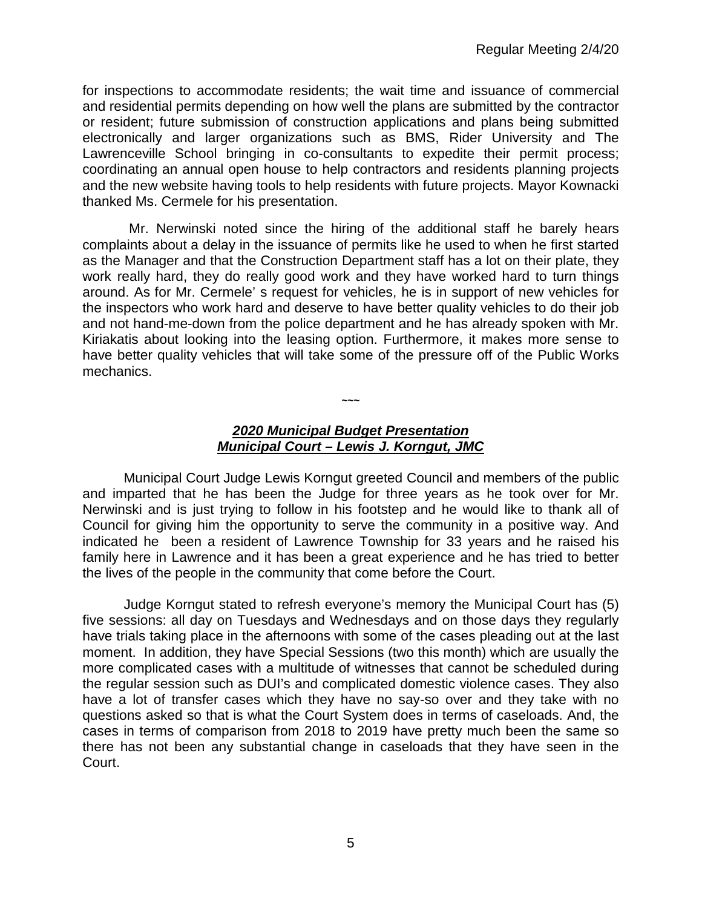for inspections to accommodate residents; the wait time and issuance of commercial and residential permits depending on how well the plans are submitted by the contractor or resident; future submission of construction applications and plans being submitted electronically and larger organizations such as BMS, Rider University and The Lawrenceville School bringing in co-consultants to expedite their permit process; coordinating an annual open house to help contractors and residents planning projects and the new website having tools to help residents with future projects. Mayor Kownacki thanked Ms. Cermele for his presentation.

Mr. Nerwinski noted since the hiring of the additional staff he barely hears complaints about a delay in the issuance of permits like he used to when he first started as the Manager and that the Construction Department staff has a lot on their plate, they work really hard, they do really good work and they have worked hard to turn things around. As for Mr. Cermele' s request for vehicles, he is in support of new vehicles for the inspectors who work hard and deserve to have better quality vehicles to do their job and not hand-me-down from the police department and he has already spoken with Mr. Kiriakatis about looking into the leasing option. Furthermore, it makes more sense to have better quality vehicles that will take some of the pressure off of the Public Works mechanics.

#### *2020 Municipal Budget Presentation Municipal Court – Lewis J. Korngut, JMC*

**~~~**

Municipal Court Judge Lewis Korngut greeted Council and members of the public and imparted that he has been the Judge for three years as he took over for Mr. Nerwinski and is just trying to follow in his footstep and he would like to thank all of Council for giving him the opportunity to serve the community in a positive way. And indicated he been a resident of Lawrence Township for 33 years and he raised his family here in Lawrence and it has been a great experience and he has tried to better the lives of the people in the community that come before the Court.

Judge Korngut stated to refresh everyone's memory the Municipal Court has (5) five sessions: all day on Tuesdays and Wednesdays and on those days they regularly have trials taking place in the afternoons with some of the cases pleading out at the last moment. In addition, they have Special Sessions (two this month) which are usually the more complicated cases with a multitude of witnesses that cannot be scheduled during the regular session such as DUI's and complicated domestic violence cases. They also have a lot of transfer cases which they have no say-so over and they take with no questions asked so that is what the Court System does in terms of caseloads. And, the cases in terms of comparison from 2018 to 2019 have pretty much been the same so there has not been any substantial change in caseloads that they have seen in the Court.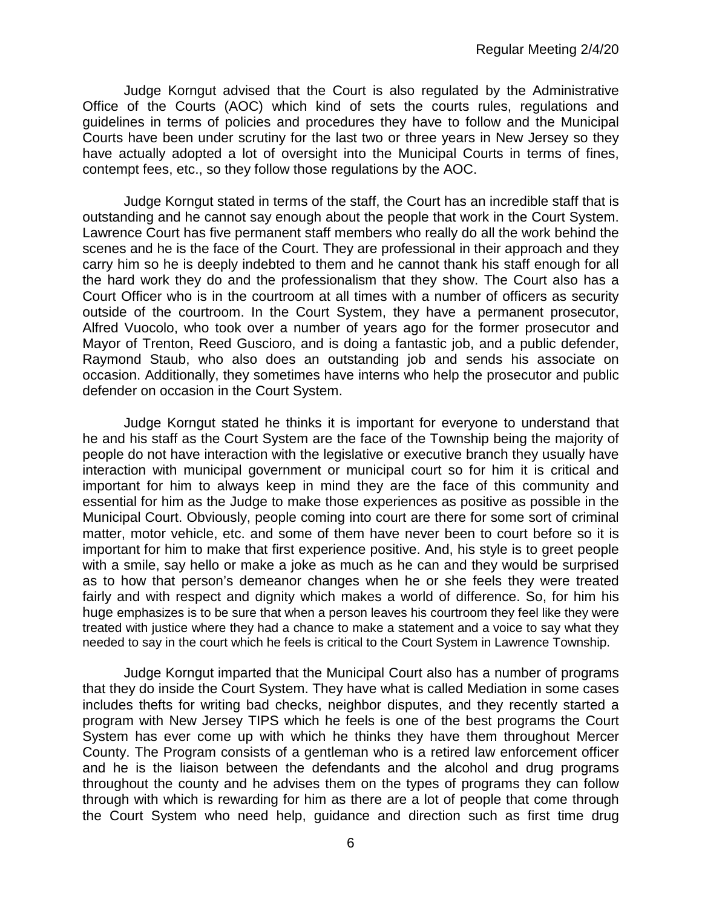Judge Korngut advised that the Court is also regulated by the Administrative Office of the Courts (AOC) which kind of sets the courts rules, regulations and guidelines in terms of policies and procedures they have to follow and the Municipal Courts have been under scrutiny for the last two or three years in New Jersey so they have actually adopted a lot of oversight into the Municipal Courts in terms of fines, contempt fees, etc., so they follow those regulations by the AOC.

Judge Korngut stated in terms of the staff, the Court has an incredible staff that is outstanding and he cannot say enough about the people that work in the Court System. Lawrence Court has five permanent staff members who really do all the work behind the scenes and he is the face of the Court. They are professional in their approach and they carry him so he is deeply indebted to them and he cannot thank his staff enough for all the hard work they do and the professionalism that they show. The Court also has a Court Officer who is in the courtroom at all times with a number of officers as security outside of the courtroom. In the Court System, they have a permanent prosecutor, Alfred Vuocolo, who took over a number of years ago for the former prosecutor and Mayor of Trenton, Reed Guscioro, and is doing a fantastic job, and a public defender, Raymond Staub, who also does an outstanding job and sends his associate on occasion. Additionally, they sometimes have interns who help the prosecutor and public defender on occasion in the Court System.

Judge Korngut stated he thinks it is important for everyone to understand that he and his staff as the Court System are the face of the Township being the majority of people do not have interaction with the legislative or executive branch they usually have interaction with municipal government or municipal court so for him it is critical and important for him to always keep in mind they are the face of this community and essential for him as the Judge to make those experiences as positive as possible in the Municipal Court. Obviously, people coming into court are there for some sort of criminal matter, motor vehicle, etc. and some of them have never been to court before so it is important for him to make that first experience positive. And, his style is to greet people with a smile, say hello or make a joke as much as he can and they would be surprised as to how that person's demeanor changes when he or she feels they were treated fairly and with respect and dignity which makes a world of difference. So, for him his huge emphasizes is to be sure that when a person leaves his courtroom they feel like they were treated with justice where they had a chance to make a statement and a voice to say what they needed to say in the court which he feels is critical to the Court System in Lawrence Township.

Judge Korngut imparted that the Municipal Court also has a number of programs that they do inside the Court System. They have what is called Mediation in some cases includes thefts for writing bad checks, neighbor disputes, and they recently started a program with New Jersey TIPS which he feels is one of the best programs the Court System has ever come up with which he thinks they have them throughout Mercer County. The Program consists of a gentleman who is a retired law enforcement officer and he is the liaison between the defendants and the alcohol and drug programs throughout the county and he advises them on the types of programs they can follow through with which is rewarding for him as there are a lot of people that come through the Court System who need help, guidance and direction such as first time drug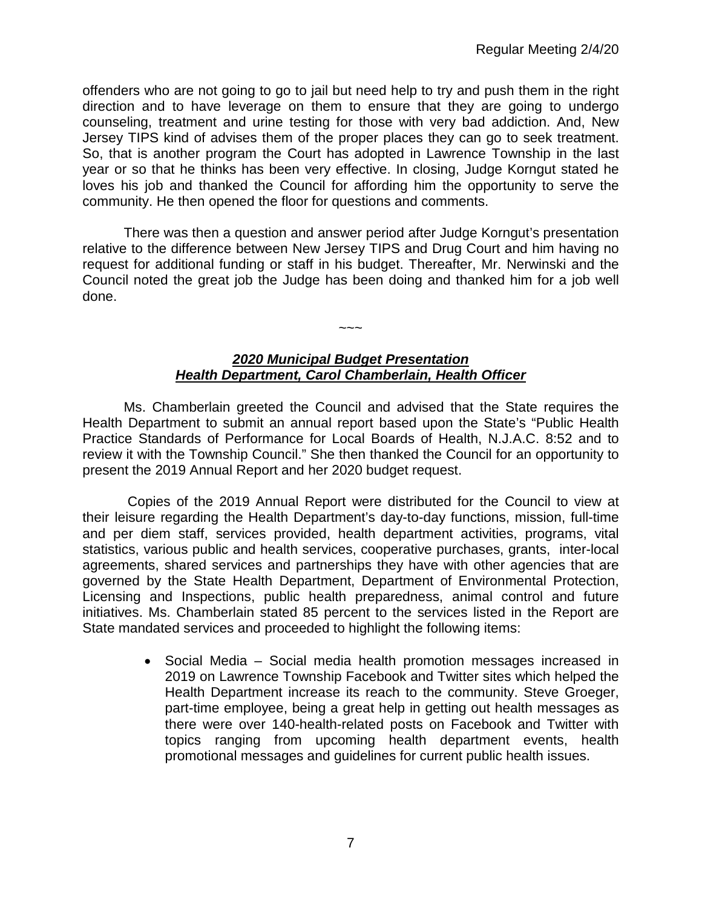offenders who are not going to go to jail but need help to try and push them in the right direction and to have leverage on them to ensure that they are going to undergo counseling, treatment and urine testing for those with very bad addiction. And, New Jersey TIPS kind of advises them of the proper places they can go to seek treatment. So, that is another program the Court has adopted in Lawrence Township in the last year or so that he thinks has been very effective. In closing, Judge Korngut stated he loves his job and thanked the Council for affording him the opportunity to serve the community. He then opened the floor for questions and comments.

There was then a question and answer period after Judge Korngut's presentation relative to the difference between New Jersey TIPS and Drug Court and him having no request for additional funding or staff in his budget. Thereafter, Mr. Nerwinski and the Council noted the great job the Judge has been doing and thanked him for a job well done.

#### *2020 Municipal Budget Presentation Health Department, Carol Chamberlain, Health Officer*

 $\sim$   $\sim$   $\sim$ 

Ms. Chamberlain greeted the Council and advised that the State requires the Health Department to submit an annual report based upon the State's "Public Health Practice Standards of Performance for Local Boards of Health, N.J.A.C. 8:52 and to review it with the Township Council." She then thanked the Council for an opportunity to present the 2019 Annual Report and her 2020 budget request.

Copies of the 2019 Annual Report were distributed for the Council to view at their leisure regarding the Health Department's day-to-day functions, mission, full-time and per diem staff, services provided, health department activities, programs, vital statistics, various public and health services, cooperative purchases, grants, inter-local agreements, shared services and partnerships they have with other agencies that are governed by the State Health Department, Department of Environmental Protection, Licensing and Inspections, public health preparedness, animal control and future initiatives. Ms. Chamberlain stated 85 percent to the services listed in the Report are State mandated services and proceeded to highlight the following items:

> • Social Media – Social media health promotion messages increased in 2019 on Lawrence Township Facebook and Twitter sites which helped the Health Department increase its reach to the community. Steve Groeger, part-time employee, being a great help in getting out health messages as there were over 140-health-related posts on Facebook and Twitter with topics ranging from upcoming health department events, health promotional messages and guidelines for current public health issues.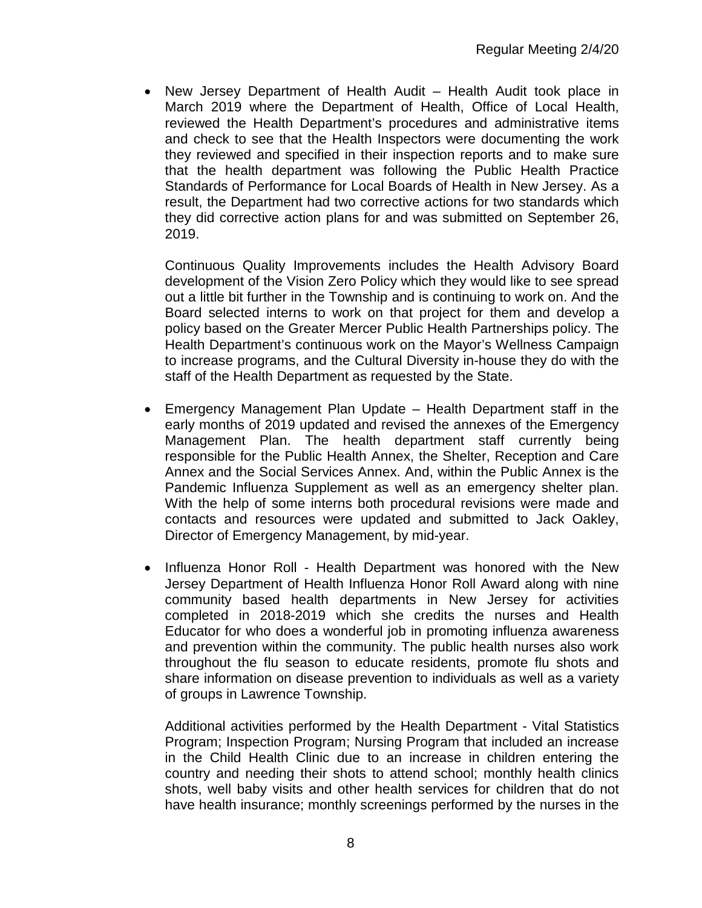• New Jersey Department of Health Audit – Health Audit took place in March 2019 where the Department of Health, Office of Local Health, reviewed the Health Department's procedures and administrative items and check to see that the Health Inspectors were documenting the work they reviewed and specified in their inspection reports and to make sure that the health department was following the Public Health Practice Standards of Performance for Local Boards of Health in New Jersey. As a result, the Department had two corrective actions for two standards which they did corrective action plans for and was submitted on September 26, 2019.

Continuous Quality Improvements includes the Health Advisory Board development of the Vision Zero Policy which they would like to see spread out a little bit further in the Township and is continuing to work on. And the Board selected interns to work on that project for them and develop a policy based on the Greater Mercer Public Health Partnerships policy. The Health Department's continuous work on the Mayor's Wellness Campaign to increase programs, and the Cultural Diversity in-house they do with the staff of the Health Department as requested by the State.

- Emergency Management Plan Update Health Department staff in the early months of 2019 updated and revised the annexes of the Emergency Management Plan. The health department staff currently being responsible for the Public Health Annex, the Shelter, Reception and Care Annex and the Social Services Annex. And, within the Public Annex is the Pandemic Influenza Supplement as well as an emergency shelter plan. With the help of some interns both procedural revisions were made and contacts and resources were updated and submitted to Jack Oakley, Director of Emergency Management, by mid-year.
- Influenza Honor Roll Health Department was honored with the New Jersey Department of Health Influenza Honor Roll Award along with nine community based health departments in New Jersey for activities completed in 2018-2019 which she credits the nurses and Health Educator for who does a wonderful job in promoting influenza awareness and prevention within the community. The public health nurses also work throughout the flu season to educate residents, promote flu shots and share information on disease prevention to individuals as well as a variety of groups in Lawrence Township.

Additional activities performed by the Health Department - Vital Statistics Program; Inspection Program; Nursing Program that included an increase in the Child Health Clinic due to an increase in children entering the country and needing their shots to attend school; monthly health clinics shots, well baby visits and other health services for children that do not have health insurance; monthly screenings performed by the nurses in the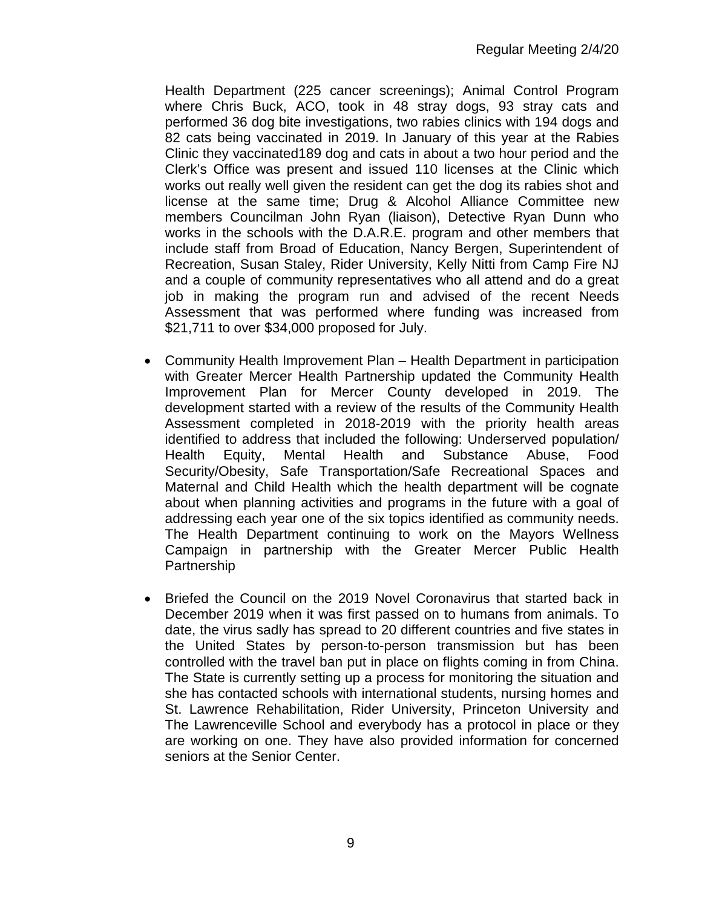Health Department (225 cancer screenings); Animal Control Program where Chris Buck, ACO, took in 48 stray dogs, 93 stray cats and performed 36 dog bite investigations, two rabies clinics with 194 dogs and 82 cats being vaccinated in 2019. In January of this year at the Rabies Clinic they vaccinated189 dog and cats in about a two hour period and the Clerk's Office was present and issued 110 licenses at the Clinic which works out really well given the resident can get the dog its rabies shot and license at the same time; Drug & Alcohol Alliance Committee new members Councilman John Ryan (liaison), Detective Ryan Dunn who works in the schools with the D.A.R.E. program and other members that include staff from Broad of Education, Nancy Bergen, Superintendent of Recreation, Susan Staley, Rider University, Kelly Nitti from Camp Fire NJ and a couple of community representatives who all attend and do a great job in making the program run and advised of the recent Needs Assessment that was performed where funding was increased from \$21,711 to over \$34,000 proposed for July.

- Community Health Improvement Plan Health Department in participation with Greater Mercer Health Partnership updated the Community Health Improvement Plan for Mercer County developed in 2019. The development started with a review of the results of the Community Health Assessment completed in 2018-2019 with the priority health areas identified to address that included the following: Underserved population/ Health Equity, Mental Health and Substance Abuse, Food Security/Obesity, Safe Transportation/Safe Recreational Spaces and Maternal and Child Health which the health department will be cognate about when planning activities and programs in the future with a goal of addressing each year one of the six topics identified as community needs. The Health Department continuing to work on the Mayors Wellness Campaign in partnership with the Greater Mercer Public Health **Partnership**
- Briefed the Council on the 2019 Novel Coronavirus that started back in December 2019 when it was first passed on to humans from animals. To date, the virus sadly has spread to 20 different countries and five states in the United States by person-to-person transmission but has been controlled with the travel ban put in place on flights coming in from China. The State is currently setting up a process for monitoring the situation and she has contacted schools with international students, nursing homes and St. Lawrence Rehabilitation, Rider University, Princeton University and The Lawrenceville School and everybody has a protocol in place or they are working on one. They have also provided information for concerned seniors at the Senior Center.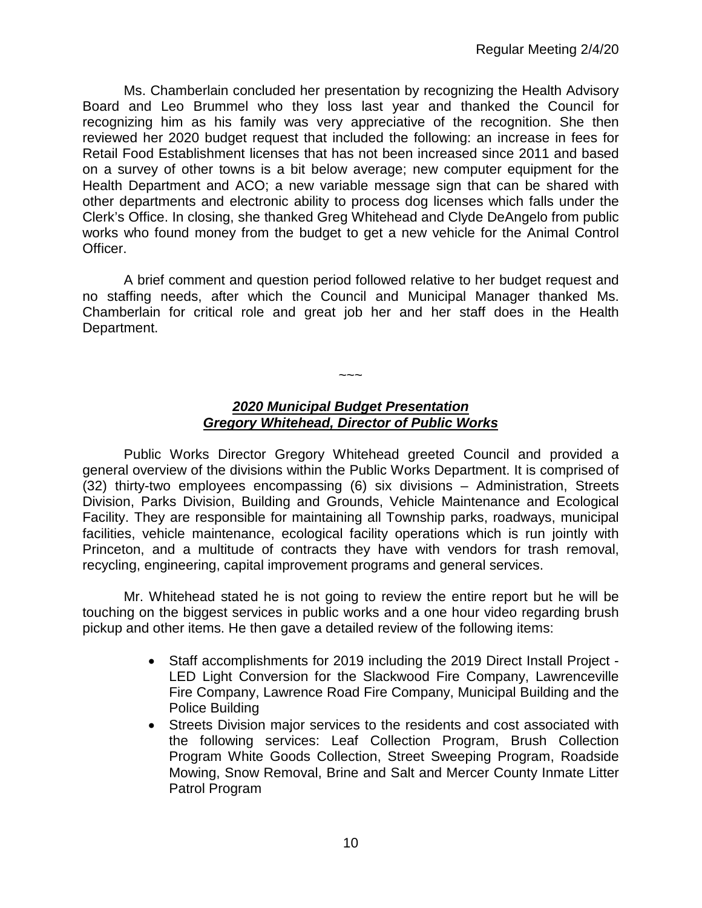Ms. Chamberlain concluded her presentation by recognizing the Health Advisory Board and Leo Brummel who they loss last year and thanked the Council for recognizing him as his family was very appreciative of the recognition. She then reviewed her 2020 budget request that included the following: an increase in fees for Retail Food Establishment licenses that has not been increased since 2011 and based on a survey of other towns is a bit below average; new computer equipment for the Health Department and ACO; a new variable message sign that can be shared with other departments and electronic ability to process dog licenses which falls under the Clerk's Office. In closing, she thanked Greg Whitehead and Clyde DeAngelo from public works who found money from the budget to get a new vehicle for the Animal Control Officer.

A brief comment and question period followed relative to her budget request and no staffing needs, after which the Council and Municipal Manager thanked Ms. Chamberlain for critical role and great job her and her staff does in the Health Department.

# *2020 Municipal Budget Presentation Gregory Whitehead, Director of Public Works*

 $\sim\sim\sim$ 

Public Works Director Gregory Whitehead greeted Council and provided a general overview of the divisions within the Public Works Department. It is comprised of (32) thirty-two employees encompassing (6) six divisions – Administration, Streets Division, Parks Division, Building and Grounds, Vehicle Maintenance and Ecological Facility. They are responsible for maintaining all Township parks, roadways, municipal facilities, vehicle maintenance, ecological facility operations which is run jointly with Princeton, and a multitude of contracts they have with vendors for trash removal, recycling, engineering, capital improvement programs and general services.

Mr. Whitehead stated he is not going to review the entire report but he will be touching on the biggest services in public works and a one hour video regarding brush pickup and other items. He then gave a detailed review of the following items:

- Staff accomplishments for 2019 including the 2019 Direct Install Project LED Light Conversion for the Slackwood Fire Company, Lawrenceville Fire Company, Lawrence Road Fire Company, Municipal Building and the Police Building
- Streets Division major services to the residents and cost associated with the following services: Leaf Collection Program, Brush Collection Program White Goods Collection, Street Sweeping Program, Roadside Mowing, Snow Removal, Brine and Salt and Mercer County Inmate Litter Patrol Program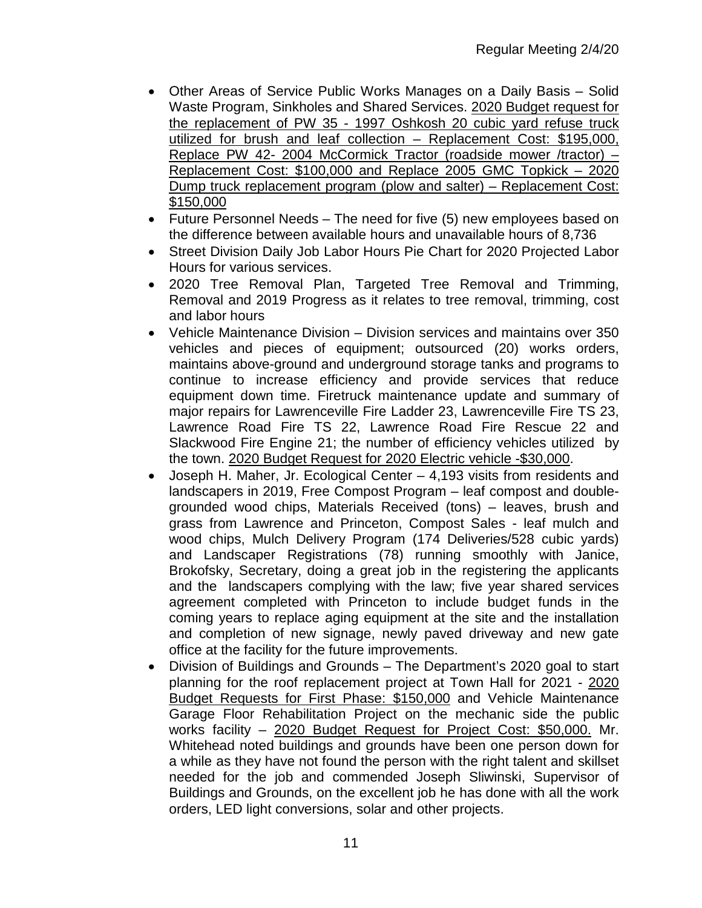- Other Areas of Service Public Works Manages on a Daily Basis Solid Waste Program, Sinkholes and Shared Services. 2020 Budget request for the replacement of PW 35 - 1997 Oshkosh 20 cubic yard refuse truck utilized for brush and leaf collection – Replacement Cost: \$195,000, Replace PW 42- 2004 McCormick Tractor (roadside mower /tractor) – Replacement Cost: \$100,000 and Replace 2005 GMC Topkick – 2020 Dump truck replacement program (plow and salter) – Replacement Cost: \$150,000
- Future Personnel Needs The need for five (5) new employees based on the difference between available hours and unavailable hours of 8,736
- Street Division Daily Job Labor Hours Pie Chart for 2020 Projected Labor Hours for various services.
- 2020 Tree Removal Plan, Targeted Tree Removal and Trimming, Removal and 2019 Progress as it relates to tree removal, trimming, cost and labor hours
- Vehicle Maintenance Division Division services and maintains over 350 vehicles and pieces of equipment; outsourced (20) works orders, maintains above-ground and underground storage tanks and programs to continue to increase efficiency and provide services that reduce equipment down time. Firetruck maintenance update and summary of major repairs for Lawrenceville Fire Ladder 23, Lawrenceville Fire TS 23, Lawrence Road Fire TS 22, Lawrence Road Fire Rescue 22 and Slackwood Fire Engine 21; the number of efficiency vehicles utilized by the town. 2020 Budget Request for 2020 Electric vehicle -\$30,000.
- Joseph H. Maher, Jr. Ecological Center 4,193 visits from residents and landscapers in 2019, Free Compost Program – leaf compost and doublegrounded wood chips, Materials Received (tons) – leaves, brush and grass from Lawrence and Princeton, Compost Sales - leaf mulch and wood chips, Mulch Delivery Program (174 Deliveries/528 cubic yards) and Landscaper Registrations (78) running smoothly with Janice, Brokofsky, Secretary, doing a great job in the registering the applicants and the landscapers complying with the law; five year shared services agreement completed with Princeton to include budget funds in the coming years to replace aging equipment at the site and the installation and completion of new signage, newly paved driveway and new gate office at the facility for the future improvements.
- Division of Buildings and Grounds The Department's 2020 goal to start planning for the roof replacement project at Town Hall for 2021 - 2020 Budget Requests for First Phase: \$150,000 and Vehicle Maintenance Garage Floor Rehabilitation Project on the mechanic side the public works facility – 2020 Budget Request for Project Cost: \$50,000. Mr. Whitehead noted buildings and grounds have been one person down for a while as they have not found the person with the right talent and skillset needed for the job and commended Joseph Sliwinski, Supervisor of Buildings and Grounds, on the excellent job he has done with all the work orders, LED light conversions, solar and other projects.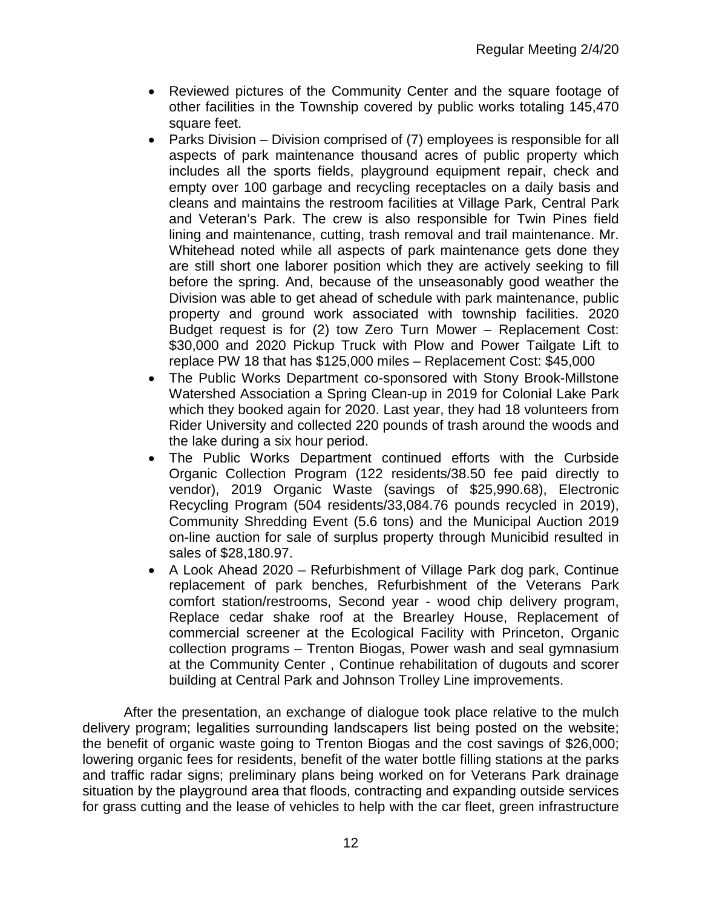- Reviewed pictures of the Community Center and the square footage of other facilities in the Township covered by public works totaling 145,470 square feet.
- Parks Division Division comprised of (7) employees is responsible for all aspects of park maintenance thousand acres of public property which includes all the sports fields, playground equipment repair, check and empty over 100 garbage and recycling receptacles on a daily basis and cleans and maintains the restroom facilities at Village Park, Central Park and Veteran's Park. The crew is also responsible for Twin Pines field lining and maintenance, cutting, trash removal and trail maintenance. Mr. Whitehead noted while all aspects of park maintenance gets done they are still short one laborer position which they are actively seeking to fill before the spring. And, because of the unseasonably good weather the Division was able to get ahead of schedule with park maintenance, public property and ground work associated with township facilities. 2020 Budget request is for (2) tow Zero Turn Mower – Replacement Cost: \$30,000 and 2020 Pickup Truck with Plow and Power Tailgate Lift to replace PW 18 that has \$125,000 miles – Replacement Cost: \$45,000
- The Public Works Department co-sponsored with Stony Brook-Millstone Watershed Association a Spring Clean-up in 2019 for Colonial Lake Park which they booked again for 2020. Last year, they had 18 volunteers from Rider University and collected 220 pounds of trash around the woods and the lake during a six hour period.
- The Public Works Department continued efforts with the Curbside Organic Collection Program (122 residents/38.50 fee paid directly to vendor), 2019 Organic Waste (savings of \$25,990.68), Electronic Recycling Program (504 residents/33,084.76 pounds recycled in 2019), Community Shredding Event (5.6 tons) and the Municipal Auction 2019 on-line auction for sale of surplus property through Municibid resulted in sales of \$28,180.97.
- A Look Ahead 2020 Refurbishment of Village Park dog park, Continue replacement of park benches, Refurbishment of the Veterans Park comfort station/restrooms, Second year - wood chip delivery program, Replace cedar shake roof at the Brearley House, Replacement of commercial screener at the Ecological Facility with Princeton, Organic collection programs – Trenton Biogas, Power wash and seal gymnasium at the Community Center , Continue rehabilitation of dugouts and scorer building at Central Park and Johnson Trolley Line improvements.

After the presentation, an exchange of dialogue took place relative to the mulch delivery program; legalities surrounding landscapers list being posted on the website; the benefit of organic waste going to Trenton Biogas and the cost savings of \$26,000; lowering organic fees for residents, benefit of the water bottle filling stations at the parks and traffic radar signs; preliminary plans being worked on for Veterans Park drainage situation by the playground area that floods, contracting and expanding outside services for grass cutting and the lease of vehicles to help with the car fleet, green infrastructure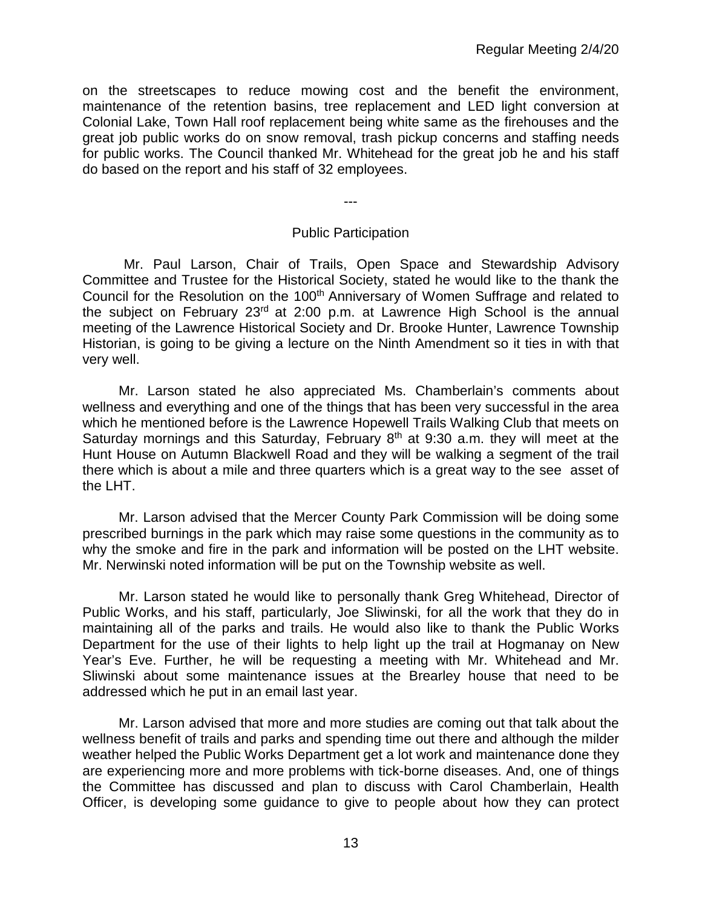on the streetscapes to reduce mowing cost and the benefit the environment, maintenance of the retention basins, tree replacement and LED light conversion at Colonial Lake, Town Hall roof replacement being white same as the firehouses and the great job public works do on snow removal, trash pickup concerns and staffing needs for public works. The Council thanked Mr. Whitehead for the great job he and his staff do based on the report and his staff of 32 employees.

---

#### Public Participation

Mr. Paul Larson, Chair of Trails, Open Space and Stewardship Advisory Committee and Trustee for the Historical Society, stated he would like to the thank the Council for the Resolution on the 100<sup>th</sup> Anniversary of Women Suffrage and related to the subject on February 23<sup>rd</sup> at 2:00 p.m. at Lawrence High School is the annual meeting of the Lawrence Historical Society and Dr. Brooke Hunter, Lawrence Township Historian, is going to be giving a lecture on the Ninth Amendment so it ties in with that very well.

Mr. Larson stated he also appreciated Ms. Chamberlain's comments about wellness and everything and one of the things that has been very successful in the area which he mentioned before is the Lawrence Hopewell Trails Walking Club that meets on Saturday mornings and this Saturday, February 8<sup>th</sup> at 9:30 a.m. they will meet at the Hunt House on Autumn Blackwell Road and they will be walking a segment of the trail there which is about a mile and three quarters which is a great way to the see asset of the LHT.

Mr. Larson advised that the Mercer County Park Commission will be doing some prescribed burnings in the park which may raise some questions in the community as to why the smoke and fire in the park and information will be posted on the LHT website. Mr. Nerwinski noted information will be put on the Township website as well.

Mr. Larson stated he would like to personally thank Greg Whitehead, Director of Public Works, and his staff, particularly, Joe Sliwinski, for all the work that they do in maintaining all of the parks and trails. He would also like to thank the Public Works Department for the use of their lights to help light up the trail at Hogmanay on New Year's Eve. Further, he will be requesting a meeting with Mr. Whitehead and Mr. Sliwinski about some maintenance issues at the Brearley house that need to be addressed which he put in an email last year.

Mr. Larson advised that more and more studies are coming out that talk about the wellness benefit of trails and parks and spending time out there and although the milder weather helped the Public Works Department get a lot work and maintenance done they are experiencing more and more problems with tick-borne diseases. And, one of things the Committee has discussed and plan to discuss with Carol Chamberlain, Health Officer, is developing some guidance to give to people about how they can protect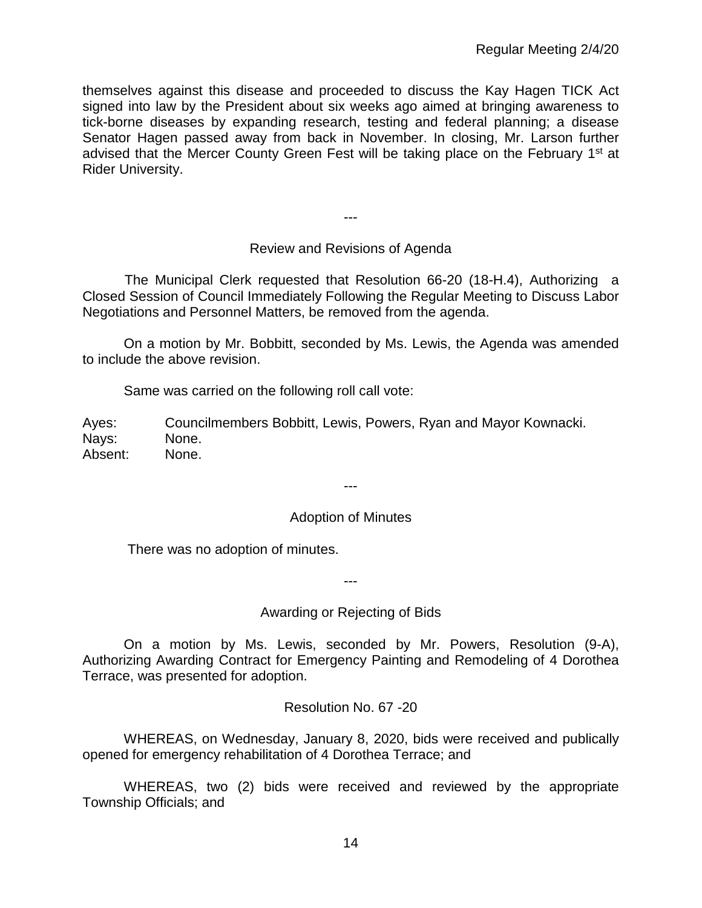themselves against this disease and proceeded to discuss the Kay Hagen TICK Act signed into law by the President about six weeks ago aimed at bringing awareness to tick-borne diseases by expanding research, testing and federal planning; a disease Senator Hagen passed away from back in November. In closing, Mr. Larson further advised that the Mercer County Green Fest will be taking place on the February 1<sup>st</sup> at Rider University.

# Review and Revisions of Agenda

---

 The Municipal Clerk requested that Resolution 66-20 (18-H.4), Authorizing a Closed Session of Council Immediately Following the Regular Meeting to Discuss Labor Negotiations and Personnel Matters, be removed from the agenda.

On a motion by Mr. Bobbitt, seconded by Ms. Lewis, the Agenda was amended to include the above revision.

Same was carried on the following roll call vote:

Ayes: Councilmembers Bobbitt, Lewis, Powers, Ryan and Mayor Kownacki. Nays: None. Absent: None.

#### Adoption of Minutes

---

There was no adoption of minutes.

Awarding or Rejecting of Bids

---

On a motion by Ms. Lewis, seconded by Mr. Powers, Resolution (9-A), Authorizing Awarding Contract for Emergency Painting and Remodeling of 4 Dorothea Terrace, was presented for adoption.

Resolution No. 67 -20

WHEREAS, on Wednesday, January 8, 2020, bids were received and publically opened for emergency rehabilitation of 4 Dorothea Terrace; and

WHEREAS, two (2) bids were received and reviewed by the appropriate Township Officials; and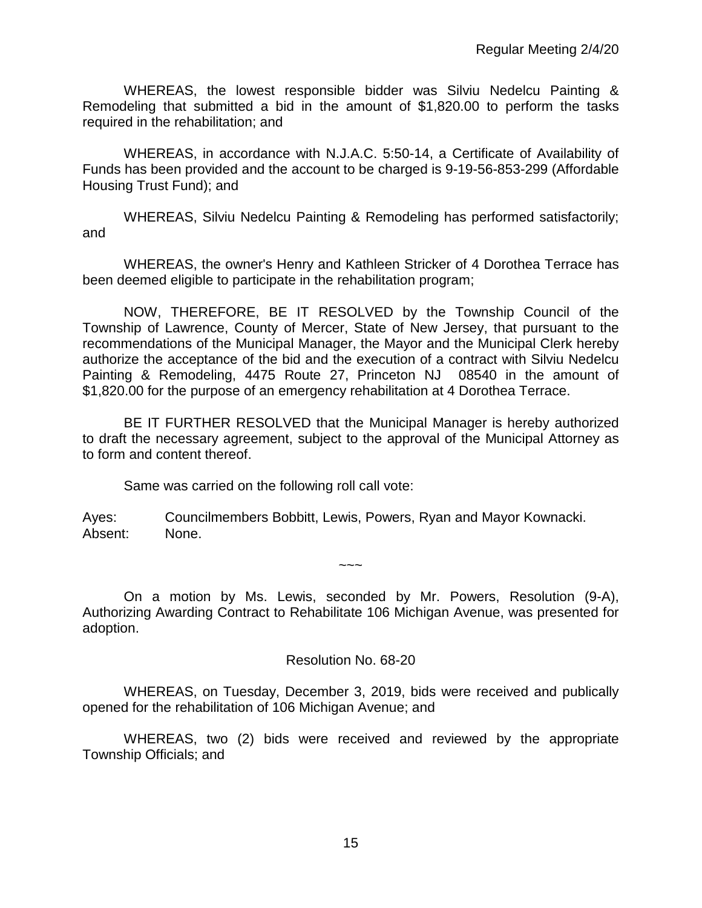WHEREAS, the lowest responsible bidder was Silviu Nedelcu Painting & Remodeling that submitted a bid in the amount of \$1,820.00 to perform the tasks required in the rehabilitation; and

WHEREAS, in accordance with N.J.A.C. 5:50-14, a Certificate of Availability of Funds has been provided and the account to be charged is 9-19-56-853-299 (Affordable Housing Trust Fund); and

WHEREAS, Silviu Nedelcu Painting & Remodeling has performed satisfactorily; and

WHEREAS, the owner's Henry and Kathleen Stricker of 4 Dorothea Terrace has been deemed eligible to participate in the rehabilitation program;

NOW, THEREFORE, BE IT RESOLVED by the Township Council of the Township of Lawrence, County of Mercer, State of New Jersey, that pursuant to the recommendations of the Municipal Manager, the Mayor and the Municipal Clerk hereby authorize the acceptance of the bid and the execution of a contract with Silviu Nedelcu Painting & Remodeling, 4475 Route 27, Princeton NJ 08540 in the amount of \$1,820.00 for the purpose of an emergency rehabilitation at 4 Dorothea Terrace.

BE IT FURTHER RESOLVED that the Municipal Manager is hereby authorized to draft the necessary agreement, subject to the approval of the Municipal Attorney as to form and content thereof.

Same was carried on the following roll call vote:

Ayes: Councilmembers Bobbitt, Lewis, Powers, Ryan and Mayor Kownacki. Absent: None.

On a motion by Ms. Lewis, seconded by Mr. Powers, Resolution (9-A), Authorizing Awarding Contract to Rehabilitate 106 Michigan Avenue, was presented for adoption.

 $\sim\sim\sim$ 

#### Resolution No. 68-20

WHEREAS, on Tuesday, December 3, 2019, bids were received and publically opened for the rehabilitation of 106 Michigan Avenue; and

WHEREAS, two (2) bids were received and reviewed by the appropriate Township Officials; and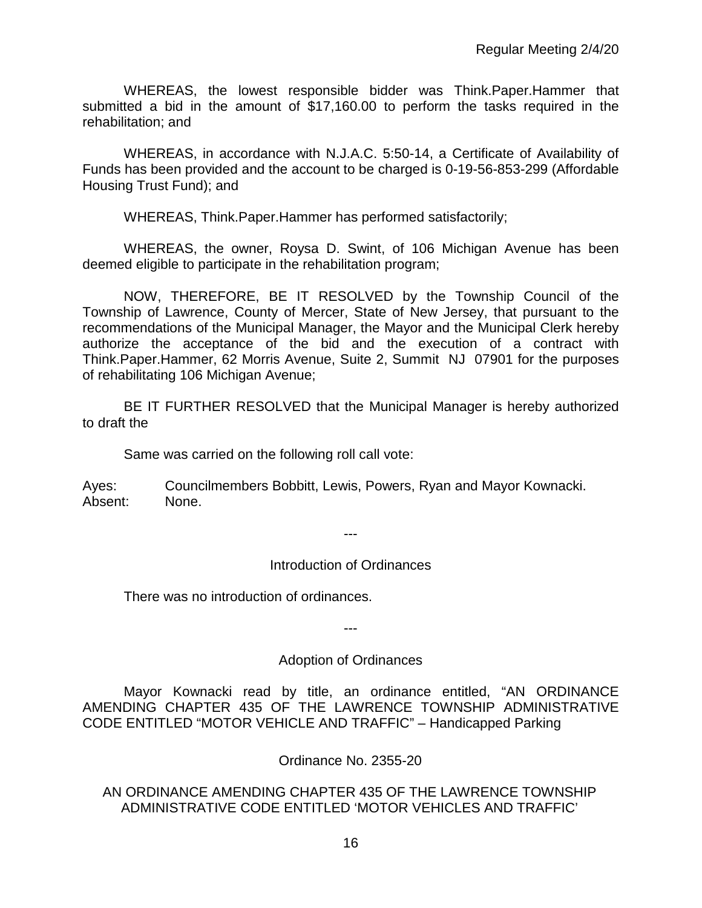WHEREAS, the lowest responsible bidder was Think.Paper.Hammer that submitted a bid in the amount of \$17,160.00 to perform the tasks required in the rehabilitation; and

WHEREAS, in accordance with N.J.A.C. 5:50-14, a Certificate of Availability of Funds has been provided and the account to be charged is 0-19-56-853-299 (Affordable Housing Trust Fund); and

WHEREAS, Think.Paper.Hammer has performed satisfactorily;

WHEREAS, the owner, Roysa D. Swint, of 106 Michigan Avenue has been deemed eligible to participate in the rehabilitation program;

NOW, THEREFORE, BE IT RESOLVED by the Township Council of the Township of Lawrence, County of Mercer, State of New Jersey, that pursuant to the recommendations of the Municipal Manager, the Mayor and the Municipal Clerk hereby authorize the acceptance of the bid and the execution of a contract with Think.Paper.Hammer, 62 Morris Avenue, Suite 2, Summit NJ 07901 for the purposes of rehabilitating 106 Michigan Avenue;

BE IT FURTHER RESOLVED that the Municipal Manager is hereby authorized to draft the

Same was carried on the following roll call vote:

Ayes: Councilmembers Bobbitt, Lewis, Powers, Ryan and Mayor Kownacki. Absent: None.

---

#### Introduction of Ordinances

There was no introduction of ordinances.

---

#### Adoption of Ordinances

Mayor Kownacki read by title, an ordinance entitled, "AN ORDINANCE AMENDING CHAPTER 435 OF THE LAWRENCE TOWNSHIP ADMINISTRATIVE CODE ENTITLED "MOTOR VEHICLE AND TRAFFIC" – Handicapped Parking

#### Ordinance No. 2355-20

#### AN ORDINANCE AMENDING CHAPTER 435 OF THE LAWRENCE TOWNSHIP ADMINISTRATIVE CODE ENTITLED 'MOTOR VEHICLES AND TRAFFIC'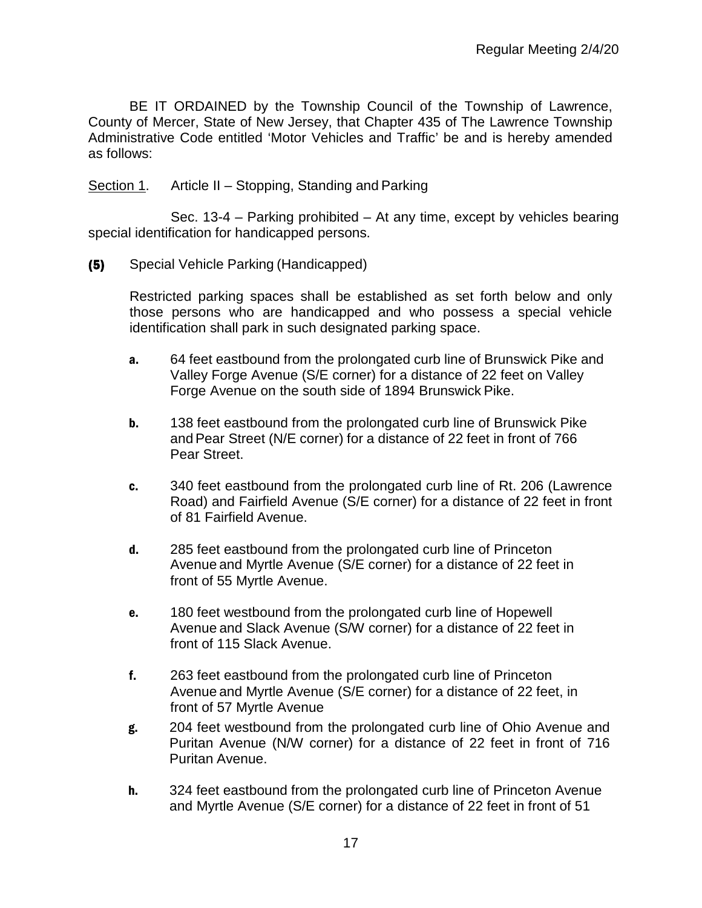BE IT ORDAINED by the Township Council of the Township of Lawrence, County of Mercer, State of New Jersey, that Chapter 435 of The Lawrence Township Administrative Code entitled 'Motor Vehicles and Traffic' be and is hereby amended as follows:

#### Section 1. Article II – Stopping, Standing and Parking

Sec. 13-4 – Parking prohibited – At any time, except by vehicles bearing special identification for handicapped persons.

#### (5) Special Vehicle Parking (Handicapped)

Restricted parking spaces shall be established as set forth below and only those persons who are handicapped and who possess a special vehicle identification shall park in such designated parking space.

- a. 64 feet eastbound from the prolongated curb line of Brunswick Pike and Valley Forge Avenue (S/E corner) for a distance of 22 feet on Valley Forge Avenue on the south side of 1894 Brunswick Pike.
- **b.** 138 feet eastbound from the prolongated curb line of Brunswick Pike andPear Street (N/E corner) for a distance of 22 feet in front of 766 Pear Street.
- c. 340 feet eastbound from the prolongated curb line of Rt. 206 (Lawrence Road) and Fairfield Avenue (S/E corner) for a distance of 22 feet in front of 81 Fairfield Avenue.
- d. 285 feet eastbound from the prolongated curb line of Princeton Avenue and Myrtle Avenue (S/E corner) for a distance of 22 feet in front of 55 Myrtle Avenue.
- e. 180 feet westbound from the prolongated curb line of Hopewell Avenue and Slack Avenue (S/W corner) for a distance of 22 feet in front of 115 Slack Avenue.
- f. 263 feet eastbound from the prolongated curb line of Princeton Avenue and Myrtle Avenue (S/E corner) for a distance of 22 feet, in front of 57 Myrtle Avenue
- g. 204 feet westbound from the prolongated curb line of Ohio Avenue and Puritan Avenue (N/W corner) for a distance of 22 feet in front of 716 Puritan Avenue.
- h. 324 feet eastbound from the prolongated curb line of Princeton Avenue and Myrtle Avenue (S/E corner) for a distance of 22 feet in front of 51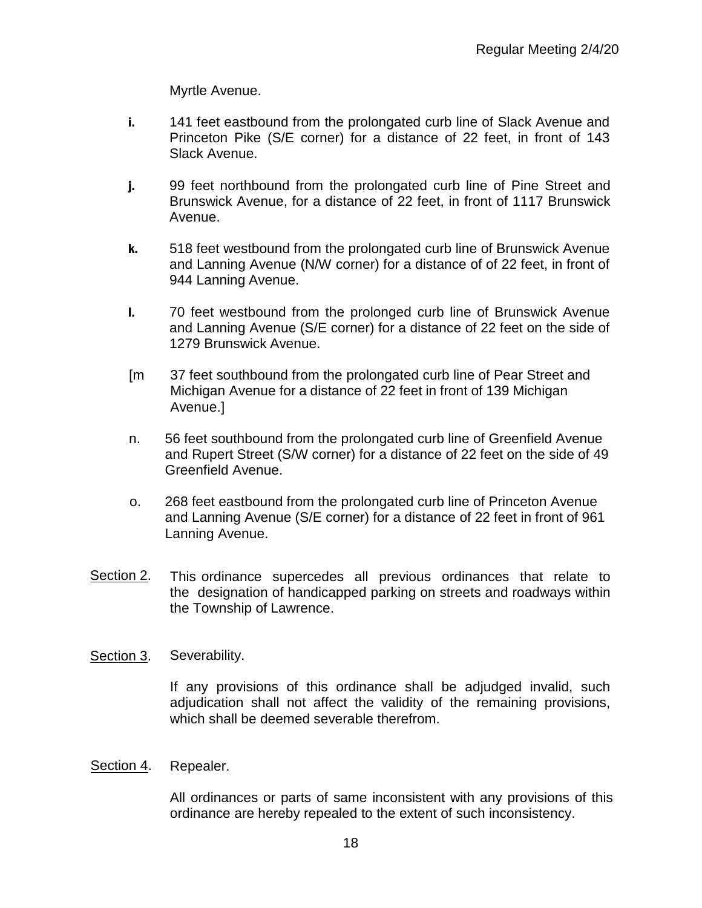Myrtle Avenue.

- i. 141 feet eastbound from the prolongated curb line of Slack Avenue and Princeton Pike (S/E corner) for a distance of 22 feet, in front of 143 Slack Avenue.
- j. 99 feet northbound from the prolongated curb line of Pine Street and Brunswick Avenue, for a distance of 22 feet, in front of 1117 Brunswick Avenue.
- k. 518 feet westbound from the prolongated curb line of Brunswick Avenue and Lanning Avenue (N/W corner) for a distance of of 22 feet, in front of 944 Lanning Avenue.
- l. 70 feet westbound from the prolonged curb line of Brunswick Avenue and Lanning Avenue (S/E corner) for a distance of 22 feet on the side of 1279 Brunswick Avenue.
- [m 37 feet southbound from the prolongated curb line of Pear Street and Michigan Avenue for a distance of 22 feet in front of 139 Michigan Avenue.]
- n. 56 feet southbound from the prolongated curb line of Greenfield Avenue and Rupert Street (S/W corner) for a distance of 22 feet on the side of 49 Greenfield Avenue.
- o. 268 feet eastbound from the prolongated curb line of Princeton Avenue and Lanning Avenue (S/E corner) for a distance of 22 feet in front of 961 Lanning Avenue.
- Section 2. This ordinance supercedes all previous ordinances that relate to the designation of handicapped parking on streets and roadways within the Township of Lawrence.

#### Section 3. Severability.

If any provisions of this ordinance shall be adjudged invalid, such adjudication shall not affect the validity of the remaining provisions, which shall be deemed severable therefrom.

#### Section 4. Repealer.

All ordinances or parts of same inconsistent with any provisions of this ordinance are hereby repealed to the extent of such inconsistency.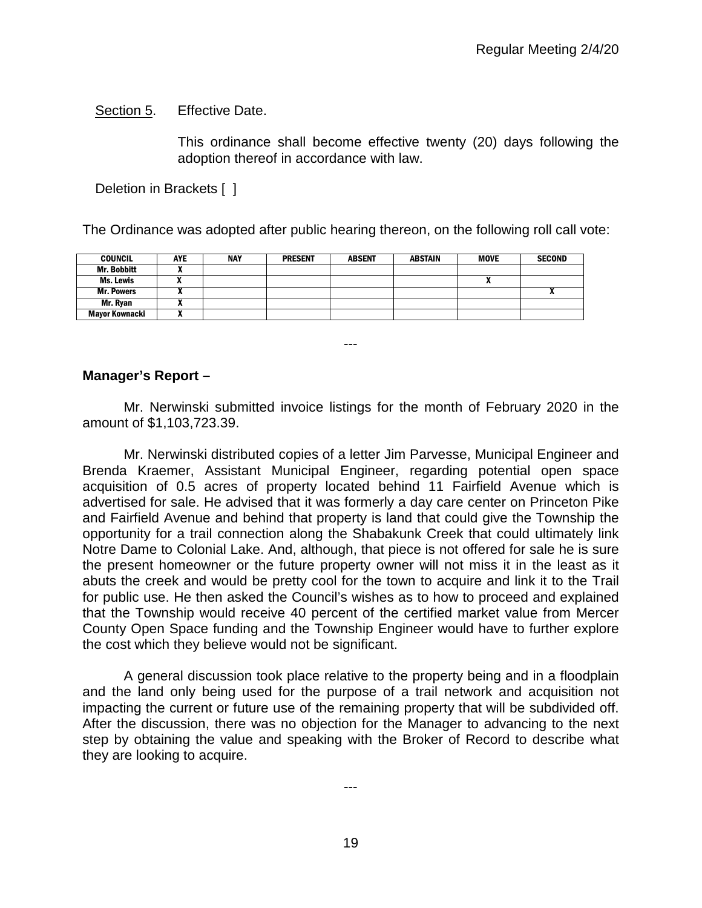Section 5. Effective Date.

This ordinance shall become effective twenty (20) days following the adoption thereof in accordance with law.

Deletion in Brackets [ ]

The Ordinance was adopted after public hearing thereon, on the following roll call vote:

| <b>COUNCIL</b>     | AYE | <b>NAY</b> | <b>PRESENT</b> | <b>ABSENT</b> | <b>ABSTAIN</b> | <b>MOVE</b> | <b>SECOND</b> |
|--------------------|-----|------------|----------------|---------------|----------------|-------------|---------------|
| <b>Mr. Bobbitt</b> |     |            |                |               |                |             |               |
| Ms. Lewis          |     |            |                |               |                |             |               |
| <b>Mr. Powers</b>  |     |            |                |               |                |             | $\mathbf{v}$  |
| Mr. Ryan           |     |            |                |               |                |             |               |
| Mavor Kownacki     | . . |            |                |               |                |             |               |

**Manager's Report –**

Mr. Nerwinski submitted invoice listings for the month of February 2020 in the amount of \$1,103,723.39.

---

Mr. Nerwinski distributed copies of a letter Jim Parvesse, Municipal Engineer and Brenda Kraemer, Assistant Municipal Engineer, regarding potential open space acquisition of 0.5 acres of property located behind 11 Fairfield Avenue which is advertised for sale. He advised that it was formerly a day care center on Princeton Pike and Fairfield Avenue and behind that property is land that could give the Township the opportunity for a trail connection along the Shabakunk Creek that could ultimately link Notre Dame to Colonial Lake. And, although, that piece is not offered for sale he is sure the present homeowner or the future property owner will not miss it in the least as it abuts the creek and would be pretty cool for the town to acquire and link it to the Trail for public use. He then asked the Council's wishes as to how to proceed and explained that the Township would receive 40 percent of the certified market value from Mercer County Open Space funding and the Township Engineer would have to further explore the cost which they believe would not be significant.

A general discussion took place relative to the property being and in a floodplain and the land only being used for the purpose of a trail network and acquisition not impacting the current or future use of the remaining property that will be subdivided off. After the discussion, there was no objection for the Manager to advancing to the next step by obtaining the value and speaking with the Broker of Record to describe what they are looking to acquire.

---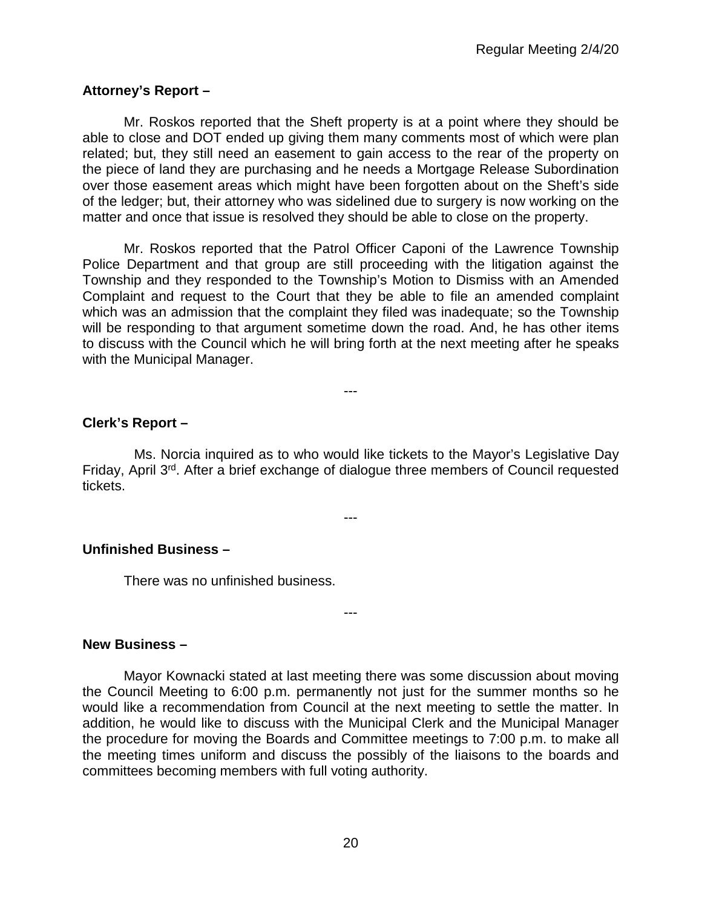# **Attorney's Report –**

Mr. Roskos reported that the Sheft property is at a point where they should be able to close and DOT ended up giving them many comments most of which were plan related; but, they still need an easement to gain access to the rear of the property on the piece of land they are purchasing and he needs a Mortgage Release Subordination over those easement areas which might have been forgotten about on the Sheft's side of the ledger; but, their attorney who was sidelined due to surgery is now working on the matter and once that issue is resolved they should be able to close on the property.

Mr. Roskos reported that the Patrol Officer Caponi of the Lawrence Township Police Department and that group are still proceeding with the litigation against the Township and they responded to the Township's Motion to Dismiss with an Amended Complaint and request to the Court that they be able to file an amended complaint which was an admission that the complaint they filed was inadequate; so the Township will be responding to that argument sometime down the road. And, he has other items to discuss with the Council which he will bring forth at the next meeting after he speaks with the Municipal Manager.

---

# **Clerk's Report –**

Ms. Norcia inquired as to who would like tickets to the Mayor's Legislative Day Friday, April 3rd. After a brief exchange of dialogue three members of Council requested tickets.

---

---

#### **Unfinished Business –**

There was no unfinished business.

**New Business –** 

Mayor Kownacki stated at last meeting there was some discussion about moving the Council Meeting to 6:00 p.m. permanently not just for the summer months so he would like a recommendation from Council at the next meeting to settle the matter. In addition, he would like to discuss with the Municipal Clerk and the Municipal Manager the procedure for moving the Boards and Committee meetings to 7:00 p.m. to make all the meeting times uniform and discuss the possibly of the liaisons to the boards and committees becoming members with full voting authority.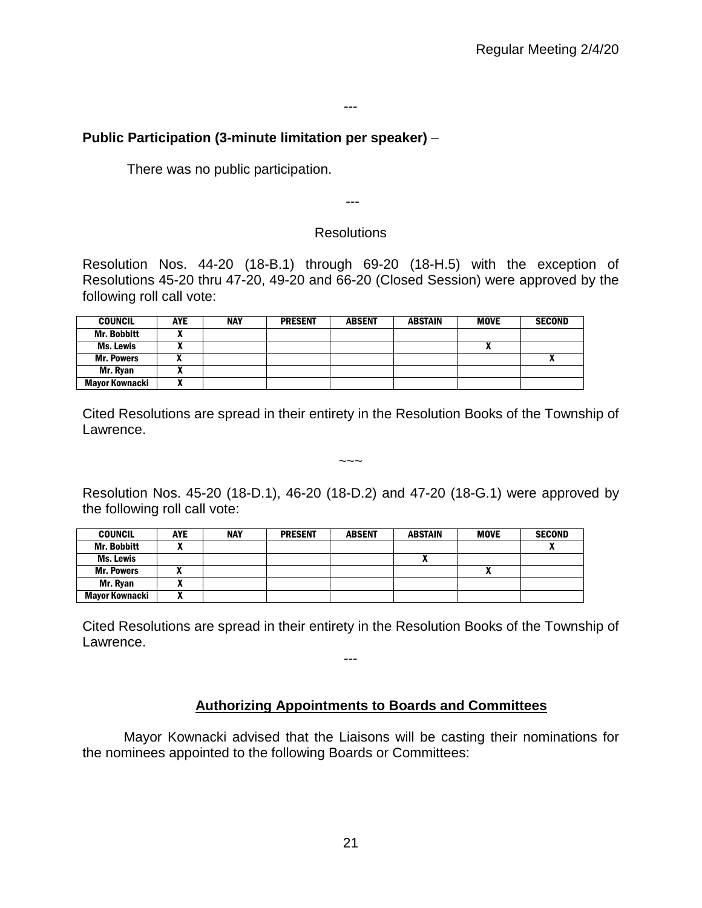# **Public Participation (3-minute limitation per speaker)** –

There was no public participation.

---

#### **Resolutions**

Resolution Nos. 44-20 (18-B.1) through 69-20 (18-H.5) with the exception of Resolutions 45-20 thru 47-20, 49-20 and 66-20 (Closed Session) were approved by the following roll call vote:

| <b>COUNCIL</b>     | <b>AYE</b> | <b>NAY</b> | <b>PRESENT</b> | <b>ABSENT</b> | <b>ABSTAIN</b> | <b>MOVE</b> | <b>SECOND</b> |
|--------------------|------------|------------|----------------|---------------|----------------|-------------|---------------|
| <b>Mr. Bobbitt</b> |            |            |                |               |                |             |               |
| <b>Ms. Lewis</b>   |            |            |                |               |                |             |               |
| <b>Mr. Powers</b>  | "          |            |                |               |                |             | Λ             |
| Mr. Ryan           |            |            |                |               |                |             |               |
| Mayor Kownacki     |            |            |                |               |                |             |               |

Cited Resolutions are spread in their entirety in the Resolution Books of the Township of Lawrence.

 $\sim\sim\sim$ 

Resolution Nos. 45-20 (18-D.1), 46-20 (18-D.2) and 47-20 (18-G.1) were approved by the following roll call vote:

| <b>COUNCIL</b>     | <b>AYE</b> | <b>NAY</b> | <b>PRESENT</b> | <b>ABSENT</b> | <b>ABSTAIN</b> | <b>MOVE</b> | <b>SECOND</b> |
|--------------------|------------|------------|----------------|---------------|----------------|-------------|---------------|
| <b>Mr. Bobbitt</b> |            |            |                |               |                |             |               |
| Ms. Lewis          |            |            |                |               |                |             |               |
| <b>Mr. Powers</b>  |            |            |                |               |                | Λ           |               |
| Mr. Ryan           |            |            |                |               |                |             |               |
| Mayor Kownacki     | ,,,        |            |                |               |                |             |               |

Cited Resolutions are spread in their entirety in the Resolution Books of the Township of Lawrence.

---

#### **Authorizing Appointments to Boards and Committees**

Mayor Kownacki advised that the Liaisons will be casting their nominations for the nominees appointed to the following Boards or Committees: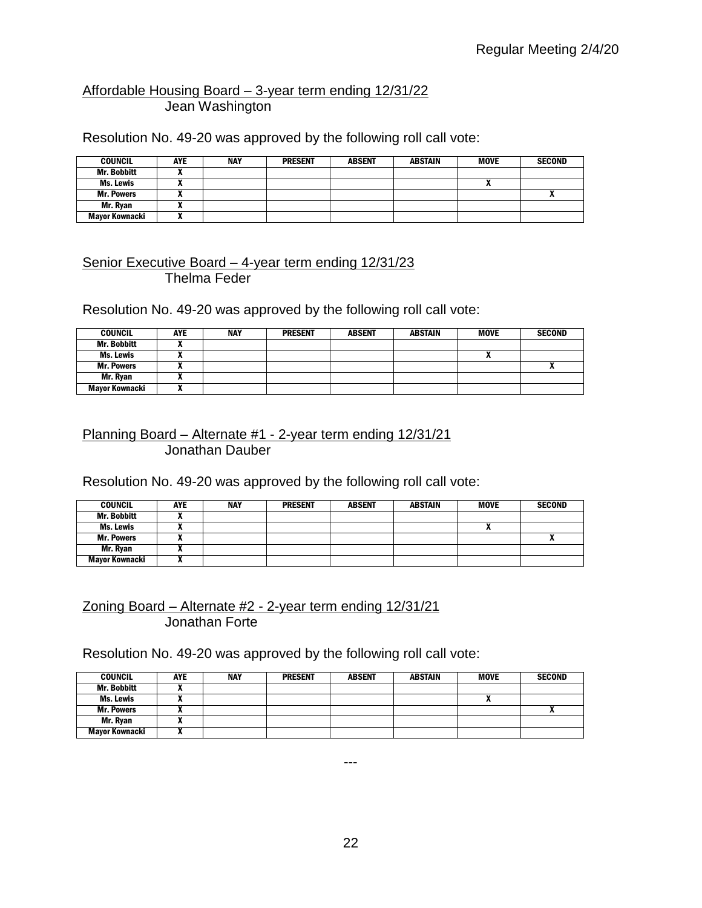# Affordable Housing Board – 3-year term ending 12/31/22 Jean Washington

Resolution No. 49-20 was approved by the following roll call vote:

| <b>COUNCIL</b>     | <b>AYE</b> | <b>NAY</b> | <b>PRESENT</b> | <b>ABSENT</b> | <b>ABSTAIN</b> | <b>MOVE</b> | <b>SECOND</b> |
|--------------------|------------|------------|----------------|---------------|----------------|-------------|---------------|
| <b>Mr. Bobbitt</b> |            |            |                |               |                |             |               |
| Ms. Lewis          |            |            |                |               |                |             |               |
| <b>Mr. Powers</b>  |            |            |                |               |                |             |               |
| Mr. Ryan           |            |            |                |               |                |             |               |
| Mayor Kownacki     |            |            |                |               |                |             |               |

#### Senior Executive Board – 4-year term ending 12/31/23 Thelma Feder

Resolution No. 49-20 was approved by the following roll call vote:

| <b>COUNCIL</b>    | <b>AYE</b> | <b>NAY</b> | <b>PRESENT</b> | <b>ABSENT</b> | ABSTAIN | <b>MOVE</b> | <b>SECOND</b> |
|-------------------|------------|------------|----------------|---------------|---------|-------------|---------------|
| Mr. Bobbitt       |            |            |                |               |         |             |               |
| Ms. Lewis         | ,,         |            |                |               |         | n           |               |
| <b>Mr. Powers</b> |            |            |                |               |         |             |               |
| Mr. Ryan          |            |            |                |               |         |             |               |
| Mayor Kownacki    | ,,         |            |                |               |         |             |               |

## Planning Board – Alternate #1 - 2-year term ending 12/31/21 Jonathan Dauber

Resolution No. 49-20 was approved by the following roll call vote:

| <b>COUNCIL</b>    | <b>AYE</b> | <b>NAY</b> | <b>PRESENT</b> | <b>ABSENT</b> | <b>ABSTAIN</b> | <b>MOVE</b> | <b>SECOND</b> |
|-------------------|------------|------------|----------------|---------------|----------------|-------------|---------------|
| Mr. Bobbitt       |            |            |                |               |                |             |               |
| Ms. Lewis         |            |            |                |               |                |             |               |
| <b>Mr. Powers</b> |            |            |                |               |                |             | ^             |
| Mr. Ryan          |            |            |                |               |                |             |               |
| Mayor Kownacki    | ,,         |            |                |               |                |             |               |

#### Zoning Board – Alternate #2 - 2-year term ending 12/31/21 Jonathan Forte

Resolution No. 49-20 was approved by the following roll call vote:

| <b>COUNCIL</b>     | AYE          | <b>NAY</b> | <b>PRESENT</b> | <b>ABSENT</b> | <b>ABSTAIN</b> | <b>MOVE</b> | <b>SECOND</b> |
|--------------------|--------------|------------|----------------|---------------|----------------|-------------|---------------|
| <b>Mr. Bobbitt</b> |              |            |                |               |                |             |               |
| Ms. Lewis          |              |            |                |               |                | n           |               |
| <b>Mr. Powers</b>  |              |            |                |               |                |             |               |
| Mr. Ryan           |              |            |                |               |                |             |               |
| Mayor Kownacki     | $\mathbf{v}$ |            |                |               |                |             |               |

---